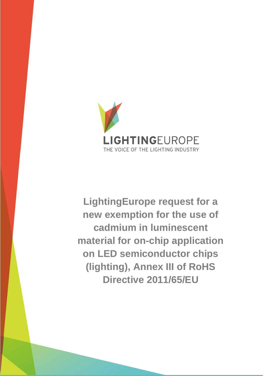

**LightingEurope request for a new exemption for the use of cadmium in luminescent material for on-chip application on LED semiconductor chips (lighting), Annex III of RoHS Directive 2011/65/EU**

LIGHTINGEUROPE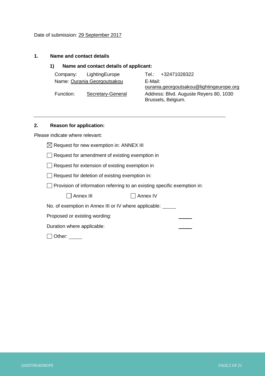## **1. Name and contact details**

## **1) Name and contact details of applicant:**

| Company:<br>LightingEurope     | Tel.: +32471028322                                           |
|--------------------------------|--------------------------------------------------------------|
| Name: Ourania Georgoutsakou    | E-Mail:                                                      |
|                                | ourania.georgoutsakou@lightingeurope.org                     |
| Function:<br>Secretary-General | Address: Blvd. Auguste Reyers 80, 1030<br>Brussels, Belgium. |

# **2. Reason for application:**

Please indicate where relevant:

 $\boxtimes$  Request for new exemption in: ANNEX III

Request for amendment of existing exemption in

Request for extension of existing exemption in

Request for deletion of existing exemption in:

 $\Box$  Provision of information referring to an existing specific exemption in:

| $\Box$ Annex III | $\Box$ Annex IV |
|------------------|-----------------|
|------------------|-----------------|

No. of exemption in Annex III or IV where applicable:

Proposed or existing wording:

Duration where applicable:

Other: \_\_\_\_\_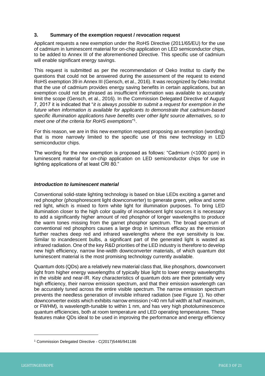## **3. Summary of the exemption request / revocation request**

Applicant requests a new exemption under the RoHS Directive (2011/65/EU) for the use of cadmium in luminescent material for on-chip application on LED semiconductor chips, to be added to Annex III of the aforementioned Directive. This specific use of cadmium will enable significant energy savings.

This request is submitted as per the recommendation of Oeko Institut to clarify the questions that could not be answered during the assessment of the request to extend RoHS exemption 39 in Annex III (Gensch, et al., 2016). It was recognized by Oeko Institut that the use of cadmium provides energy saving benefits in certain applications, but an exemption could not be phrased as insufficient information was available to accurately limit the scope (Gensch, et al., 2016). In the Commission Delegated Directive of August 7, 2017 it is indicated that "*it is always possible to submit a request for exemption in the future when information is available for applicants to demonstrate that cadmium-based specific illumination applications have benefits over other light source alternatives, so to meet one of the criteria for RoHS exemptions*" 1 .

For this reason, we are in this new exemption request proposing an exemption (wording) that is more narrowly limited to the specific use of this new technology in LED semiconductor chips.

The wording for the new exemption is proposed as follows: "Cadmium (<1000 ppm) in luminescent material for *on-chip* application on LED semiconductor chips for use in lighting applications of at least CRI 80."

### *Introduction to luminescent material*

Conventional solid-state lighting technology is based on blue LEDs exciting a garnet and red phosphor (phosphorescent light downconverter) to generate green, yellow and some red light, which is mixed to form white light for illumination purposes. To bring LED illumination closer to the high color quality of incandescent light sources it is necessary to add a significantly higher amount of red phosphor of longer wavelengths to produce the warm tones missing from the garnet phosphor spectrum. The broad spectrum of conventional red phosphors causes a large drop in luminous efficacy as the emission further reaches deep red and infrared wavelengths where the eye sensitivity is low. Similar to incandescent bulbs, a significant part of the generated light is wasted as infrared radiation. One of the key R&D priorities of the LED industry is therefore to develop new high efficiency, narrow line-width downconverter materials, of which quantum dot luminescent material is the most promising technology currently available.

Quantum dots (QDs) are a relatively new material class that, like phosphors, downconvert light from higher energy wavelengths of typically blue light to lower energy wavelengths in the visible and near-IR. Key characteristics of quantum dots are their potentially very high efficiency, their narrow emission spectrum, and that their emission wavelength can be accurately tuned across the entire visible spectrum. The narrow emission spectrum prevents the needless generation of invisible infrared radiation (see [Figure 1\)](#page-3-0). No other downconverter exists which exhibits narrow emission (<40 nm full width at half maximum, or FWHM), is wavelength-tunable to within 1 nm, and has very high photoluminescence quantum efficiencies, both at room temperature and LED operating temperatures. These features make QDs ideal to be used in improving the performance and energy efficiency

<sup>1</sup> Commission Delegated Directive - C(2017)5446/941186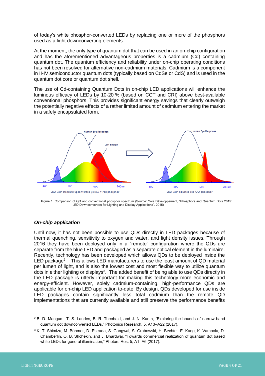of today's white phosphor-converted LEDs by replacing one or more of the phosphors used as a light downconverting elements.

At the moment, the only type of quantum dot that can be used in an on-chip configuration and has the aforementioned advantageous properties is a cadmium (Cd) containing quantum dot. The quantum efficiency and reliability under on-chip operating conditions has not been resolved for alternative non-cadmium materials. Cadmium is a component in II-IV semiconductor quantum dots (typically based on CdSe or CdS) and is used in the quantum dot core or quantum dot shell.

The use of Cd-containing Quantum Dots in on-chip LED applications will enhance the luminous efficacy of LEDs by 10-20 % (based on CCT and CRI) above best-available conventional phosphors. This provides significant energy savings that clearly outweigh the potentially negative effects of a rather limited amount of cadmium entering the market in a safely encapsulated form.



<span id="page-3-0"></span>Figure 1: Comparison of QD and conventional phosphor spectrum (Source: Yole Développement, "Phosphors and Quantum Dots 2015: LED Downconverters for Lighting and Display Applications", 2015)

# *On-chip application*

Until now, it has not been possible to use QDs directly in LED packages because of thermal quenching, sensitivity to oxygen and water, and light density issues. Through 2016 they have been deployed only in a "remote" configuration where the QDs are separate from the blue LED and packaged as a separate optical element in the luminaire. Recently, technology has been developed which allows QDs to be deployed inside the LED package<sup>2</sup>. This allows LED manufacturers to use the least amount of QD material per lumen of light, and is also the lowest cost and most flexible way to utilize quantum dots in either lighting or displays<sup>3</sup>. The added benefit of being able to use QDs directly in the LED package is utterly important for making this technology more economic and energy-efficient. However, solely cadmium-containing, high-performance QDs are applicable for on-chip LED application to-date. By design, QDs developed for use inside LED packages contain significantly less total cadmium than the remote QD implementations that are currently available and still preserve the performance benefits

<sup>2</sup> B. D. Mangum, T. S. Landes, B. R. Theobald, and J. N. Kurtin, "Exploring the bounds of narrow-band quantum dot downconverted LEDs," Photonics Research. 5, A13–A22 (2017).

<sup>3</sup> K. T. Shimizu, M. Böhmer, D. Estrada, S. Gangwal, S. Grabowski, H. Bechtel, E. Kang, K. Vampola, D. Chamberlin, O. B. Shchekin, and J. Bhardwaj, "Towards commercial realization of quantum dot based white LEDs for general illumination," Photon. Res. 5, A1–A6 (2017).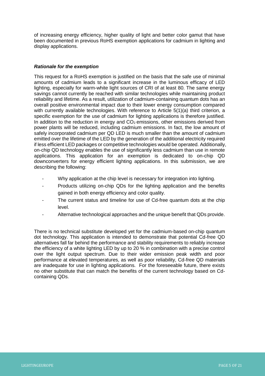of increasing energy efficiency, higher quality of light and better color gamut that have been documented in previous RoHS exemption applications for cadmium in lighting and display applications.

## *Rationale for the exemption*

This request for a RoHS exemption is justified on the basis that the safe use of minimal amounts of cadmium leads to a significant increase in the luminous efficacy of LED lighting, especially for warm-white light sources of CRI of at least 80. The same energy savings cannot currently be reached with similar technologies while maintaining product reliability and lifetime. As a result, utilization of cadmium-containing quantum dots has an overall positive environmental impact due to their lower energy consumption compared with currently available technologies. With reference to Article 5(1)(a) third criterion, a specific exemption for the use of cadmium for lighting applications is therefore justified. In addition to the reduction in energy and  $CO<sub>2</sub>$  emissions, other emissions derived from power plants will be reduced, including cadmium emissions. In fact, the low amount of safely incorporated cadmium per QD LED is much smaller than the amount of cadmium emitted over the lifetime of the LED by the generation of the additional electricity required if less efficient LED packages or competitive technologies would be operated. Additionally, on-chip QD technology enables the use of significantly less cadmium than use in remote applications. This application for an exemption is dedicated to on-chip QD downconverters for energy efficient lighting applications. In this submission, we are describing the following:

- Why application at the chip level is necessary for integration into lighting.
- Products utilizing on-chip QDs for the lighting application and the benefits gained in both energy efficiency and color quality.
- The current status and timeline for use of Cd-free quantum dots at the chip level.
- Alternative technological approaches and the unique benefit that QDs provide.

There is no technical substitute developed yet for the cadmium-based on-chip quantum dot technology. This application is intended to demonstrate that potential Cd-free QD alternatives fall far behind the performance and stability requirements to reliably increase the efficiency of a white lighting LED by up to 20 % in combination with a precise control over the light output spectrum. Due to their wider emission peak width and poor performance at elevated temperatures, as well as poor reliability, Cd-free QD materials are inadequate for use in lighting applications. For the foreseeable future, there exists no other substitute that can match the benefits of the current technology based on Cdcontaining QDs.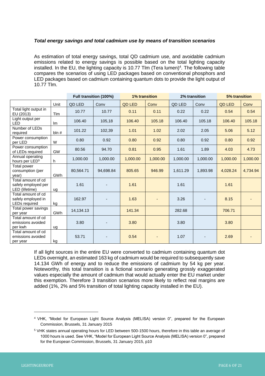## *Total energy savings and total cadmium use by means of transition scenarios*

As estimation of total energy savings, total QD cadmium use, and avoidable cadmium emissions related to energy savings is possible based on the total lighting capacity installed. In the EU, the lighting capacity is 10.77 Tlm (Tera lumen)<sup>4</sup>. The following table compares the scenarios of using LED packages based on conventional phosphors and LED packages based on cadmium containing quantum dots to provide the light output of 10.77 Tlm.

|                                                                  |             | Full transition (100%) |           | <b>1% transition</b> |          | 2% transition |          | 5% transition |          |
|------------------------------------------------------------------|-------------|------------------------|-----------|----------------------|----------|---------------|----------|---------------|----------|
|                                                                  | Unit        | QD LED                 | Conv      | <b>QD LED</b>        | Conv     | QD LED        | Conv     | <b>QD LED</b> | Conv     |
| Total light output in<br>EU (2013)                               | <b>T</b> Im | 10.77                  | 10.77     | 0.11                 | 0.11     | 0.22          | 0.22     | 0.54          | 0.54     |
| Light output per<br>LED                                          | Im          | 106.40                 | 105,18    | 106.40               | 105.18   | 106.40        | 105.18   | 106.40        | 105.18   |
| Number of LEDs<br>required                                       | bln#        | 101.22                 | 102,39    | 1.01                 | 1.02     | 2.02          | 2.05     | 5.06          | 5.12     |
| Power consumption<br>per LED                                     | W           | 0.80                   | 0.92      | 0.80                 | 0.92     | 0.80          | 0.92     | 0.80          | 0.92     |
| Power consumption<br>of LEDs required                            | GW          | 80.56                  | 94.70     | 0.81                 | 0.95     | 1.61          | 1.89     | 4.03          | 4.73     |
| Annual operating<br>hours per LED <sup>5</sup>                   | h           | 1,000.00               | 1,000.00  | 1,000.00             | 1,000.00 | 1,000.00      | 1,000.00 | 1,000.00      | 1,000.00 |
| Total power<br>consumption (per<br>year)                         | <b>GWh</b>  | 80,564.71              | 94,698.84 | 805.65               | 946.99   | 1,611.29      | 1.893.98 | 4,028.24      | 4,734.94 |
| Total amount of cd<br>safely employed per<br>LED (lifetime)      | ug          | 1.61                   |           | 1.61                 |          | 1.61          |          | 1.61          |          |
| Total amount of cd<br>safely employed in<br><b>LEDs required</b> | kg          | 162.97                 |           | 1.63                 |          | 3.26          |          | 8.15          |          |
| Total power savings<br>per year                                  | GWh         | 14,134.13              |           | 141.34               |          | 282.68        |          | 706.71        |          |
| Total amount of cd<br>emissions avoided<br>per kwh               | ug          | 3.80                   |           | 3.80                 |          | 3.80          |          | 3.80          |          |
| Total amount of cd<br>emissions avoided<br>per year              | kg          | 53.71                  |           | 0.54                 |          | 1.07          |          | 2.69          |          |

If all light sources in the entire EU were converted to cadmium containing quantum dot LEDs overnight, an estimated 163 kg of cadmium would be required to subsequently save 14.134 GWh of energy and to reduce the emissions of cadmium by 54 kg per year. Noteworthy, this total transition is a fictional scenario generating grossly exaggerated values especially the amount of cadmium that would actually enter the EU market under this exemption. Therefore 3 transition scenarios more likely to reflect real margins are added (1%, 2% and 5% transition of total lighting capacity installed in the EU).

<sup>4</sup> VHK, "Model for European Light Source Analysis (MELISA) version 0", prepared for the European Commission, Brussels, 31 January 2015

<sup>5</sup> VHK states annual operating hours for LED between 500-1500 hours, therefore in this table an average of 1000 hours is used. See VHK, "Model for European Light Source Analysis (MELISA) version 0", prepared for the European Commission, Brussels, 31 January 2015, p10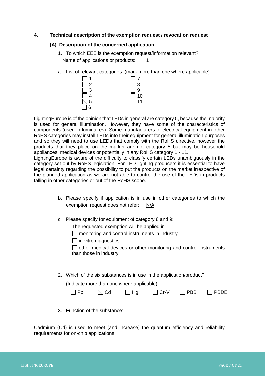## **4. Technical description of the exemption request / revocation request**

#### **(A) Description of the concerned application:**

- 1. To which EEE is the exemption request/information relevant? Name of applications or products:  $1/2$
- a. List of relevant categories: (mark more than one where applicable)



LightingEurope is of the opinion that LEDs in general are category 5, because the majority is used for general illumination. However, they have some of the characteristics of components (used in luminaires). Some manufacturers of electrical equipment in other RoHS categories may install LEDs into their equipment for general illumination purposes and so they will need to use LEDs that comply with the RoHS directive, however the products that they place on the market are not category 5 but may be household appliances, medical devices or potentially in any RoHS category 1 - 11.

LightingEurope is aware of the difficulty to classify certain LEDs unambiguously in the category set out by RoHS legislation. For LED lighting producers it is essential to have legal certainty regarding the possibility to put the products on the market irrespective of the planned application as we are not able to control the use of the LEDs in products falling in other categories or out of the RoHS scope.

- b. Please specify if application is in use in other categories to which the exemption request does not refer: N/A
- c. Please specify for equipment of category 8 and 9:

The requested exemption will be applied in

 $\Box$  monitoring and control instruments in industry

 $\Box$  in-vitro diagnostics

 $\Box$  other medical devices or other monitoring and control instruments than those in industry

2. Which of the six substances is in use in the application/product?

(Indicate more than one where applicable)

| $\Box$ Pb | $\boxtimes$ Cd | $\Box$ Hg | $\Box$ Cr-VI | $\Box$ PBB | $\Box$ PBDE |
|-----------|----------------|-----------|--------------|------------|-------------|
|           |                |           |              |            |             |

3. Function of the substance:

Cadmium (Cd) is used to meet (and increase) the quantum efficiency and reliability requirements for on-chip applications.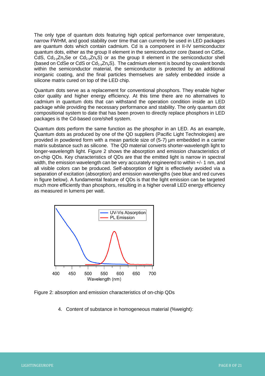The only type of quantum dots featuring high optical performance over temperature, narrow FWHM, and good stability over time that can currently be used in LED packages are quantum dots which contain cadmium. Cd is a component in II-IV semiconductor quantum dots, either as the group II element in the semiconductor core (based on CdSe, CdS,  $Cd_{1-y}Zn_{y}Se$  or  $Cd_{1-y}Zn_{y}S$ ) or as the group II element in the semiconductor shell (based on CdSe or CdS or  $Cd_{1-y}Zn_{y}S$ ). The cadmium element is bound by covalent bonds within the semiconductor material, the semiconductor is protected by an additional inorganic coating, and the final particles themselves are safely embedded inside a silicone matrix cured on top of the LED chip.

Quantum dots serve as a replacement for conventional phosphors. They enable higher color quality and higher energy efficiency. At this time there are no alternatives to cadmium in quantum dots that can withstand the operation condition inside an LED package while providing the necessary performance and stability. The only quantum dot compositional system to date that has been proven to directly replace phosphors in LED packages is the Cd-based core/shell system.

Quantum dots perform the same function as the phosphor in an LED. As an example, Quantum dots as produced by one of the QD suppliers (Pacific Light Technologies) are provided in powdered form with a mean particle size of (5-7) µm embedded in a carrier matrix substance such as silicone. The QD material converts shorter-wavelength light to longer-wavelength light. Figure 2 shows the absorption and emission characteristics of on-chip QDs. Key characteristics of QDs are that the emitted light is narrow in spectral width, the emission wavelength can be very accurately engineered to within  $+/-1$  nm, and all visible colors can be produced. Self-absorption of light is effectively avoided via a separation of excitation (absorption) and emission wavelengths (see blue and red curves in figure below). A fundamental feature of QDs is that the light emission can be targeted much more efficiently than phosphors, resulting in a higher overall LED energy efficiency as measured in lumens per watt.



Figure 2: absorption and emission characteristics of on-chip QDs

4. Content of substance in homogeneous material (%weight):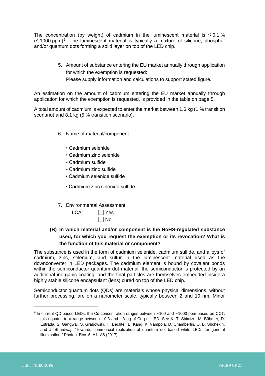The concentration (by weight) of cadmium in the luminescent material is  $\leq 0.1\%$ (≤ 1000 ppm)<sup>6</sup>. The luminescent material is typically a mixture of silicone, phosphor and/or quantum dots forming a solid layer on top of the LED chip.

> 5. Amount of substance entering the EU market annually through application for which the exemption is requested: Please supply information and calculations to support stated figure.

An estimation on the amount of cadmium entering the EU market annually through application for which the exemption is requested, is provided in the table on page 5.

A total amount of cadmium is expected to enter the market between 1.6 kg (1 % transition scenario) and 8.1 kg (5 % transition scenario).

- 6. Name of material/component:
	- Cadmium selenide
	- Cadmium zinc selenide
	- Cadmium sulfide
	- Cadmium zinc sulfide
	- Cadmium selenide sulfide
	- Cadmium zinc selenide sulfide
- 7. Environmental Assessment:
	- LCA:  $\boxtimes$  Yes  $\Box$  No
- **(B) In which material and/or component is the RoHS-regulated substance used, for which you request the exemption or its revocation? What is the function of this material or component?**

The substance is used in the form of cadmium selenide, cadmium sulfide, and alloys of cadmium, zinc, selenium, and sulfur in the luminescent material used as the downconverter in LED packages. The cadmium element is bound by covalent bonds within the semiconductor quantum dot material, the semiconductor is protected by an additional inorganic coating, and the final particles are themselves embedded inside a highly stable silicone encapsulant (lens) cured on top of the LED chip.

Semiconductor quantum dots (QDs) are materials whose physical dimensions, without further processing, are on a nanometer scale, typically between 2 and 10 nm. Minor

<sup>6</sup> In current QD based LEDs, the Cd concentration ranges between ∼100 and ∼1000 ppm based on CCT; this equates to a range between ∼0.3 and ∼3 μg of Cd per LED. See K. T. Shimizu, M. Böhmer, D. Estrada, S. Gangwal, S. Grabowski, H. Bechtel, E. Kang, K. Vampola, D. Chamberlin, O. B. Shchekin, and J. Bhardwaj, "Towards commercial realization of quantum dot based white LEDs for general illumination," Photon. Res. 5, A1–A6 (2017).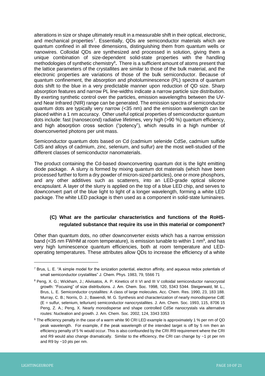alterations in size or shape ultimately result in a measurable shift in their optical, electronic, and mechanical properties<sup>7</sup>. Essentially, QDs are semiconductor materials which are quantum confined in all three dimensions, distinguishing them from quantum wells or nanowires. Colloidal QDs are synthesized and processed in solution, giving them a unique combination of size-dependent solid-state properties with the handling methodologies of synthetic chemistry<sup>8</sup>. There is a sufficient amount of atoms present that the lattice parameters of the crystallites are similar to those of the bulk material, and the electronic properties are variations of those of the bulk semiconductor. Because of quantum confinement, the absorption and photoluminescence (PL) spectra of quantum dots shift to the blue in a very predictable manner upon reduction of QD size. Sharp absorption features and narrow PL line-widths indicate a narrow particle size distribution. By exerting synthetic control over the particles, emission wavelengths between the UVand Near Infrared (NIR) range can be generated. The emission spectra of semiconductor quantum dots are typically very narrow (<35 nm) and the emission wavelength can be placed within a 1 nm accuracy. Other useful optical properties of semiconductor quantum dots include: fast (nanosecond) radiative lifetimes, very high (>90 %) quantum efficiency, and high absorption cross section ("potency"), which results in a high number of downconverted photons per unit mass.

Semiconductor quantum dots based on Cd (cadmium selenide CdSe, cadmium sulfide CdS and alloys of cadmium, zinc, selenium, and sulfur) are the most well-studied of the different classes of semiconductor nanomaterials.

The product containing the Cd-based downconverting quantum dot is the light emitting diode package. A slurry is formed by mixing quantum dot materials (which have been processed further to form a dry powder of micron-sized particles), one or more phosphors, and any other additives such as scatterers, into an LED-grade optical silicone encapsulant. A layer of the slurry is applied on the top of a blue LED chip, and serves to downconvert part of the blue light to light of a longer wavelength, forming a white LED package. The white LED package is then used as a component in solid-state luminaires.

# **(C) What are the particular characteristics and functions of the RoHSregulated substance that require its use in this material or component?**

Other than quantum dots, no other downconverter exists which has a narrow emission band (<35 nm FWHM at room temperature), is emission tunable to within 1 nm<sup>9</sup>, and has very high luminescence quantum efficiencies, both at room temperature and LEDoperating temperatures. These attributes allow QDs to increase the efficiency of a white

<sup>7</sup> Brus, L. E. "A simple model for the ionization potential, electron affinity, and aqueous redox potentials of small semiconductor crystallites" J. Chem. Phys. 1983, 79, 5566 71

<sup>8</sup> Peng, X. G.; Wickham, J.; Alivisatos, A. P. Kinetics of II VI and III V colloidal semiconductor nanocrystal growth: "Focusing" of size distributions. J. Am. Chem. Soc. 1998, 120, 5343 5344. Steigerwald, M. L., Brus, L. E. Semiconductor crystallites: A class of large molecules. Acc. Chem. Res. 1990, 23, 183 188. Murray, C. B.; Norris, D. J.; Bawendi, M. G. Synthesis and characterization of nearly monodisperse CdE (E = sulfur, selenium, tellurium) semiconductor nanocrystallites. J. Am. Chem. Soc. 1993, 115, 8706 15 Peng, Z. A.; Peng, X. Nearly monodisperse and shape controlled CdSe nanocrystals via alternative routes: Nucleation and growth. J. Am. Chem. Soc. 2002, 124, 3343 3353

<sup>9</sup> The efficiency penalty in the case of a warm white 90 CRI LED example is approximately 1 % per nm of QD peak wavelength. For example, if the peak wavelength of the intended target is off by 5 nm then an efficiency penalty of 5 % would occur. This is also confounded by the CRI /R9 requirement where the CRI and R9 would also change dramatically. Similar to the efficiency, the CRI can change by ~1 pt per nm and R9 by ~10 pts per nm.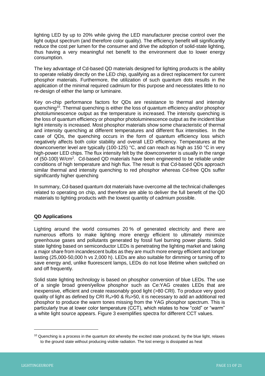lighting LED by up to 20% while giving the LED manufacturer precise control over the light output spectrum (and therefore color quality). The efficiency benefit will significantly reduce the cost per lumen for the consumer and drive the adoption of solid-state lighting, thus having a very meaningful net benefit to the environment due to lower energy consumption.

The key advantage of Cd-based QD materials designed for lighting products is the ability to operate reliably directly on the LED chip, qualifying as a direct replacement for current phosphor materials. Furthermore, the utilization of such quantum dots results in the application of the minimal required cadmium for this purpose and necessitates little to no re-design of either the lamp or luminaire.

Key on-chip performance factors for QDs are resistance to thermal and intensity quenching<sup>10</sup>. Thermal quenching is either the loss of quantum efficiency and/or phosphor photoluminescence output as the temperature is increased. The intensity quenching is the loss of quantum efficiency or phosphor photoluminescence output as the incident blue light intensity is increased. Most phosphor materials show some characteristic of thermal and intensity quenching at different temperatures and different flux intensities. In the case of QDs, the quenching occurs in the form of quantum efficiency loss which negatively affects both color stability and overall LED efficiency. Temperatures at the downconverter level are typically (100-125) °C, and can reach as high as 150 °C in very high-power LED chips. The flux intensity felt by the downconverter is usually in the range of (50-100) W/cm<sup>2</sup>. Cd-based QD materials have been engineered to be reliable under conditions of high temperature and high flux. The result is that Cd-based QDs approach similar thermal and intensity quenching to red phosphor whereas Cd-free QDs suffer significantly higher quenching

In summary, Cd-based quantum dot materials have overcome all the technical challenges related to operating on chip, and therefore are able to deliver the full benefit of the QD materials to lighting products with the lowest quantity of cadmium possible.

# **QD Applications**

Lighting around the world consumes 20 % of generated electricity and there are numerous efforts to make lighting more energy efficient to ultimately minimize greenhouse gases and pollutants generated by fossil fuel burning power plants. Solid state lighting based on semiconductor LEDs is penetrating the lighting market and taking a major share from incandescent bulbs as they are much more energy efficient and longer lasting (25,000-50,000 h vs 2,000 h). LEDs are also suitable for dimming or turning off to save energy and, unlike fluorescent lamps, LEDs do not lose lifetime when switched on and off frequently.

Solid state lighting technology is based on phosphor conversion of blue LEDs. The use of a single broad green/yellow phosphor such as Ce:YAG creates LEDs that are inexpensive, efficient and create reasonably good light (>80 CRI). To produce very good quality of light as defined by CRI  $R_a > 90$  &  $R_9 > 50$ , it is necessary to add an additional red phosphor to produce the warm tones missing from the YAG phosphor spectrum. This is particularly true at lower color temperature (CCT), which relates to how "cold" or "warm" a white light source appears. Figure 3 exemplifies spectra for different CCT values.

<sup>&</sup>lt;sup>10</sup> Quenching is a process in the quantum dot whereby the excited state produced, by the blue light, relaxes to the ground state without producing visible radiation. The lost energy is dissipated as heat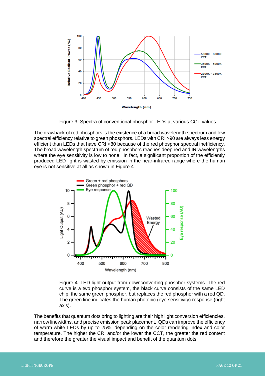

Figure 3. Spectra of conventional phosphor LEDs at various CCT values.

The drawback of red phosphors is the existence of a broad wavelength spectrum and low spectral efficiency relative to green phosphors. LEDs with CRI >90 are always less energy efficient than LEDs that have CRI <80 because of the red phosphor spectral inefficiency. The broad wavelength spectrum of red phosphors reaches deep red and IR wavelengths where the eye sensitivity is low to none. In fact, a significant proportion of the efficiently produced LED light is wasted by emission in the near-infrared range where the human eye is not sensitive at all as shown in Figure 4.



Figure 4. LED light output from downconverting phosphor systems. The red curve is a two phosphor system, the black curve consists of the same LED chip, the same green phosphor, but replaces the red phosphor with a red QD. The green line indicates the human photopic (eye sensitivity) response (right axis).

The benefits that quantum dots bring to lighting are their high light conversion efficiencies, narrow linewidths, and precise emission peak placement. QDs can improve the efficiency of warm-white LEDs by up to 25%, depending on the color rendering index and color temperature. The higher the CRI and/or the lower the CCT, the greater the red content and therefore the greater the visual impact and benefit of the quantum dots.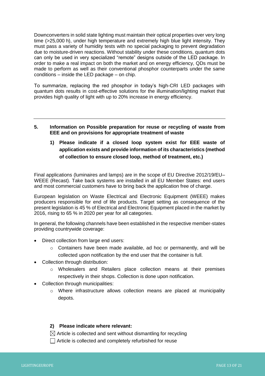Downconverters in solid state lighting must maintain their optical properties over very long time (>25,000 h), under high temperature and extremely high blue light intensity. They must pass a variety of humidity tests with no special packaging to prevent degradation due to moisture-driven reactions. Without stability under these conditions, quantum dots can only be used in very specialized "remote" designs outside of the LED package. In order to make a real impact on both the market and on energy efficiency, QDs must be made to perform as well as their conventional phosphor counterparts under the same conditions – inside the LED package – on chip.

To summarize, replacing the red phosphor in today's high-CRI LED packages with quantum dots results in cost-effective solutions for the illumination/lighting market that provides high quality of light with up to 20% increase in energy efficiency.

- **5. Information on Possible preparation for reuse or recycling of waste from EEE and on provisions for appropriate treatment of waste**
	- **1) Please indicate if a closed loop system exist for EEE waste of application exists and provide information of its characteristics (method of collection to ensure closed loop, method of treatment, etc.)**

Final applications (luminaires and lamps) are in the scope of EU Directive 2012/19/EU– WEEE (Recast). Take back systems are installed in all EU Member States: end users and most commercial customers have to bring back the application free of charge.

European legislation on Waste Electrical and Electronic Equipment (WEEE) makes producers responsible for end of life products. Target setting as consequence of the present legislation is 45 % of Electrical and Electronic Equipment placed in the market by 2016, rising to 65 % in 2020 per year for all categories.

In general, the following channels have been established in the respective member-states providing countrywide coverage:

- Direct collection from large end users:
	- $\circ$  Containers have been made available, ad hoc or permanently, and will be collected upon notification by the end user that the container is full.
- Collection through distribution:
	- o Wholesalers and Retailers place collection means at their premises respectively in their shops. Collection is done upon notification.
- Collection through municipalities:
	- o Where infrastructure allows collection means are placed at municipality depots.

#### **2) Please indicate where relevant:**

- $\boxtimes$  Article is collected and sent without dismantling for recycling
- $\Box$  Article is collected and completely refurbished for reuse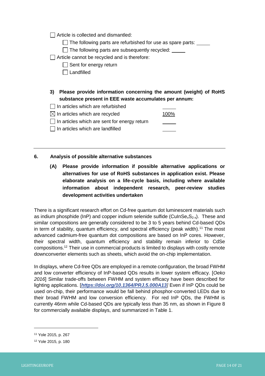$\Box$  Article is collected and dismantled:

 $\Box$  The following parts are refurbished for use as spare parts:  $\Box$ 

 $\Box$  The following parts are subsequently recycled:  $\Box$ 

Article cannot be recycled and is therefore:

- Sent for energy return
- $\Box$  Landfilled
- **3) Please provide information concerning the amount (weight) of RoHS substance present in EEE waste accumulates per annum:**
- $\Box$  In articles which are refurbished
- $\boxtimes$  In articles which are recycled  $100\%$
- $\Box$  In articles which are sent for energy return
- $\Box$  In articles which are landfilled

**6. Analysis of possible alternative substances**

**(A) Please provide information if possible alternative applications or alternatives for use of RoHS substances in application exist. Please elaborate analysis on a life-cycle basis, including where available information about independent research, peer-review studies development activities undertaken**

There is a significant research effort on Cd-free quantum dot luminescent materials such as indium phosphide (InP) and copper indium selenide sulfide (CuInSe $_{x}S_{2-x}$ ). These and similar compositions are generally considered to be 3 to 5 years behind Cd-based QDs in term of stability, quantum efficiency, and spectral efficiency (peak width).<sup>11</sup> The most advanced cadmium-free quantum dot compositions are based on InP cores. However, their spectral width, quantum efficiency and stability remain inferior to CdSe compositions.<sup>12</sup> Their use in commercial products is limited to displays with costly remote downconverter elements such as sheets, which avoid the on-chip implementation.

In displays, where Cd-free QDs are employed in a remote configuration, the broad FWHM and low converter efficiency of InP-based QDs results in lower system efficacy. [*Oeko 2016*] Similar trade-offs between FWHM and system efficacy have been described for lighting applications. [*<https://doi.org/10.1364/PRJ.5.000A13>]* Even if InP QDs could be used on-chip, their performance would be fall behind phosphor-converted LEDs due to their broad FWHM and low conversion efficiency. For red InP QDs, the FWHM is currently 46nm while Cd-based QDs are typically less than 35 nm, as shown in Figure 8 for commercially available displays, and summarized in Table 1.

<sup>11</sup> Yole 2015, p. 267

<sup>12</sup> Yole 2015, p. 180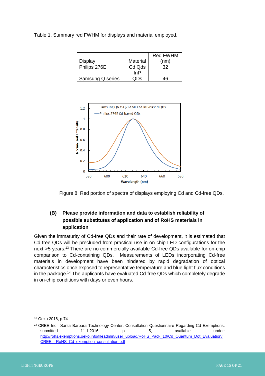Table 1. Summary red FWHM for displays and material employed.

|                  |          | <b>Red FWHM</b> |
|------------------|----------|-----------------|
| Display          | Material | (nm)            |
| Philips 276E     | Cd Qds   | つつ              |
|                  | InP      |                 |
| Samsung Q series | . ع( ۱۰  | 16              |





# **(B) Please provide information and data to establish reliability of possible substitutes of application and of RoHS materials in application**

Given the immaturity of Cd-free QDs and their rate of development, it is estimated that Cd-free QDs will be precluded from practical use in on-chip LED configurations for the next >5 years.<sup>13</sup> There are no commercially available Cd-free QDs available for on-chip comparison to Cd-containing QDs. Measurements of LEDs incorporating Cd-free materials in development have been hindered by rapid degradation of optical characteristics once exposed to representative temperature and blue light flux conditions in the package.<sup>14</sup> The applicants have evaluated Cd-free QDs which completely degrade in on-chip conditions with days or even hours.

<sup>13</sup> Oeko 2016, p.74

<sup>14</sup> CREE Inc., Santa Barbara Technology Center, Consultation Questionnaire Regarding Cd Exemptions, submitted 11.1.2016, p. 5, available under: [http://rohs.exemptions.oeko.info/fileadmin/user\\_upload/RoHS\\_Pack\\_10/Cd\\_Quantum\\_Dot\\_Evaluation/](http://rohs.exemptions.oeko.info/fileadmin/user_upload/RoHS_Pack_10/Cd_Quantum_Dot_Evaluation/CREE__RoHS_Cd_exemption_consultation.pdf) CREE \_ RoHS\_Cd\_exemption\_consultation.pdf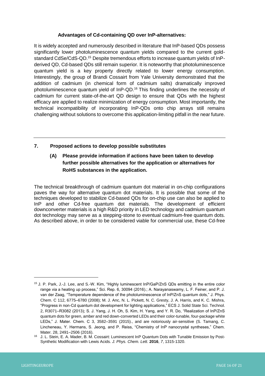# **Advantages of Cd-containing QD over InP-alternatives:**

It is widely accepted and numerously described in literature that InP-based QDs possess significantly lower photoluminescence quantum yields compared to the current goldstandard CdSe/CdS-QD.<sup>15</sup> Despite tremendous efforts to increase quantum yields of InPderived QD, Cd-based QDs still remain superior. It is noteworthy that photoluminescence quantum yield is a key property directly related to lower energy consumption. Interestingly, the group of Brandi Cossairt from Yale University demonstrated that the addition of cadmium (in chemical form of cadmium salts) dramatically improved photoluminescence quantum yield of InP-QD.<sup>16</sup> This finding underlines the necessity of cadmium for current state-of-the-art QD design to ensure that QDs with the highest efficacy are applied to realize minimization of energy consumption. Most importantly, the technical incompatibility of incorporating InP-QDs onto chip arrays still remains challenging without solutions to overcome this application-limiting pitfall in the near future.

# **7. Proposed actions to develop possible substitutes**

# **(A) Please provide information if actions have been taken to develop further possible alternatives for the application or alternatives for RoHS substances in the application.**

The technical breakthrough of cadmium quantum dot material in on-chip configurations paves the way for alternative quantum dot materials. It is possible that some of the techniques developed to stabilize Cd-based QDs for on-chip use can also be applied to InP and other Cd-free quantum dot materials. The development of efficient downconverter materials is a high R&D priority in LED technology and cadmium quantum dot technology may serve as a stepping-stone to eventual cadmium-free quantum dots. As described above, in order to be considered viable for commercial use, these Cd-free

<sup>15</sup> J. P. Park, J.-J. Lee, and S.-W. Kim, "Highly luminescent InP/GaP/ZnS QDs emitting in the entire color range via a heating up process," Sci. Rep. 6, 30094 (2016).; A. Narayanaswamy, L. F. Feiner, and P. J. van der Zaag, "Temperature dependence of the photoluminescence of InP/ZnS quantum dots," J. Phys. Chem. C 112, 6775–6780 (2008); M. J. Anc, N. L. Pickett, N. C. Gresty, J. A. Harris, and K. C. Mishra, "Progress in non-Cd quantum dot development for lighting applications," ECS J. Solid State Sci. Technol. 2, R3071–R3082 (2013); S. J. Yang, J. H. Oh, S. Kim, H. Yang, and Y. R. Do, "Realization of InP/ZnS quantum dots for green, amber and red down-converted LEDs and their color-tunable, four-package white LEDs," J. Mater. Chem. C 3, 3582–3591 (2015)., and are notoriously air-sensitive (S. Tamang, C. Lincheneau, Y. Hermans, S. Jeong, and P. Reiss, "Chemistry of InP nanocrystal syntheses," Chem. Mater. 28, 2491–2506 (2016).

J. L. Stein, E. A. Mader, B. M. Cossairt: Luminescent InP Quantum Dots with Tunable Emission by Post-Synthetic Modification with Lewis Acids. *J. Phys. Chem. Lett.* **2016**, *7*, 1315-1320.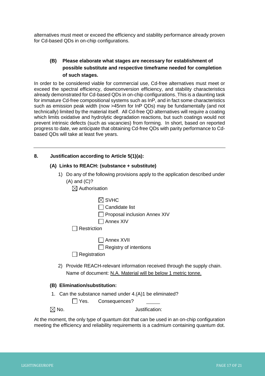alternatives must meet or exceed the efficiency and stability performance already proven for Cd-based QDs in on-chip configurations.

# **(B) Please elaborate what stages are necessary for establishment of possible substitute and respective timeframe needed for completion of such stages.**

In order to be considered viable for commercial use, Cd-free alternatives must meet or exceed the spectral efficiency, downconversion efficiency, and stability characteristics already demonstrated for Cd-based QDs in on-chip configurations. This is a daunting task for immature Cd-free compositional systems such as InP, and in fact some characteristics such as emission peak width (now >45nm for InP QDs) may be fundamentally (and not technically) limited by the material itself. All Cd-free QD alternatives will require a coating which limits oxidative and hydrolytic degradation reactions, but such coatings would not prevent intrinsic defects (such as vacancies) from forming. In short, based on reported progress to date, we anticipate that obtaining Cd-free QDs with parity performance to Cdbased QDs will take at least five years.

# **8. Justification according to Article 5(1)(a):**

### **(A) Links to REACH: (substance + substitute)**

- 1) Do any of the following provisions apply to the application described under (A) and (C)?
	- $\boxtimes$  Authorisation

|    | <b>SVHC</b>                                                                                                                            |
|----|----------------------------------------------------------------------------------------------------------------------------------------|
|    | Candidate list                                                                                                                         |
|    | Proposal inclusion Annex XIV                                                                                                           |
|    | Annex XIV                                                                                                                              |
|    | Restriction                                                                                                                            |
|    | Annex XVII                                                                                                                             |
|    | Registry of intentions                                                                                                                 |
|    | Registration                                                                                                                           |
| 2) | Provide REACH-relevant information received through the supply chain.<br>Name of document: N.A. Material will be below 1 metric tonne. |

#### **(B) Elimination/substitution:**

1. Can the substance named under 4.(A)1 be eliminated?

Yes. Consequences?

No. Justification:

At the moment, the only type of quantum dot that can be used in an on-chip configuration meeting the efficiency and reliability requirements is a cadmium containing quantum dot.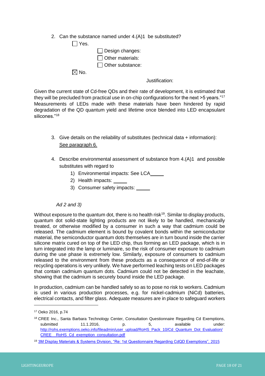2. Can the substance named under 4.(A)1 be substituted?

| $ $   Yes.      |                         |
|-----------------|-------------------------|
|                 | $\Box$ Design changes:  |
|                 | $\Box$ Other materials: |
|                 | $\Box$ Other substance: |
| $\boxtimes$ No. |                         |

Justification:

Given the current state of Cd-free QDs and their rate of development, it is estimated that they will be precluded from practical use in on-chip configurations for the next >5 years."<sup>17</sup> Measurements of LEDs made with these materials have been hindered by rapid degradation of the QD quantum yield and lifetime once blended into LED encapsulant silicones."<sup>18</sup>

- 3. Give details on the reliability of substitutes (technical data + information): See paragraph 6.
- 4. Describe environmental assessment of substance from 4.(A)1 and possible substitutes with regard to
	- 1) Environmental impacts: See LCA
	- 2) Health impacts:
	- 3) Consumer safety impacts:

# *Ad 2 and 3)*

Without exposure to the quantum dot, there is no health risk<sup>19</sup>. Similar to display products, quantum dot solid-state lighting products are not likely to be handled, mechanically treated, or otherwise modified by a consumer in such a way that cadmium could be released. The cadmium element is bound by covalent bonds within the semiconductor material, the semiconductor quantum dots themselves are in turn bound inside the carrier silicone matrix cured on top of the LED chip, thus forming an LED package, which is in turn integrated into the lamp or luminaire, so the risk of consumer exposure to cadmium during the use phase is extremely low. Similarly, exposure of consumers to cadmium released to the environment from these products as a consequence of end-of-life or recycling operations is very unlikely. We have performed leaching tests on LED packages that contain cadmium quantum dots. Cadmium could not be detected in the leachate, showing that the cadmium is securely bound inside the LED package.

In production, cadmium can be handled safely so as to pose no risk to workers. Cadmium is used in various production processes, e.g. for nickel-cadmium (NiCd) batteries, electrical contacts, and filter glass. Adequate measures are in place to safeguard workers

<sup>17</sup> Oeko 2016, p.74

<sup>18</sup> CREE Inc., Santa Barbara Technology Center, Consultation Questionnaire Regarding Cd Exemptions, submitted 11.1.2016, p. 5, available under: [http://rohs.exemptions.oeko.info/fileadmin/user\\_upload/RoHS\\_Pack\\_10/Cd\\_Quantum\\_Dot\\_Evaluation/](http://rohs.exemptions.oeko.info/fileadmin/user_upload/RoHS_Pack_10/Cd_Quantum_Dot_Evaluation/CREE__RoHS_Cd_exemption_consultation.pdf) CREE\_\_RoHS\_Cd\_exemption\_consultation.pdf

<sup>19</sup> [3M Display Materials & Systems Division, "Re: 1st Questionnaire Regarding CdQD Exemptions",](http://rohs.exemptions.oeko.info/fileadmin/user_upload/RoHS_Pack_10/Cd_QD_Exs_3M_DMSD_QDEF_RoHS_Excemption_1st_Questionnaire_PACK_10_20152610_.pdf) 2015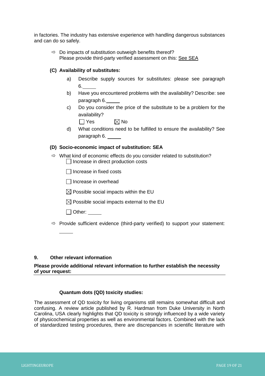in factories. The industry has extensive experience with handling dangerous substances and can do so safely.

| $\Rightarrow$ Do impacts of substitution outweigh benefits thereof? |
|---------------------------------------------------------------------|
| Please provide third-party verified assessment on this: See SEA     |

### **(C) Availability of substitutes:**

- a) Describe supply sources for substitutes: please see paragraph 6.
- b) Have you encountered problems with the availability? Describe: see paragraph 6.
- c) Do you consider the price of the substitute to be a problem for the availability?
	- $\Box$  Yes  $\boxtimes$  No
- d) What conditions need to be fulfilled to ensure the availability? See paragraph 6.

#### **(D) Socio-economic impact of substitution: SEA**

 $\Rightarrow$  What kind of economic effects do you consider related to substitution?  $\Box$  Increase in direct production costs

 $\Box$  Increase in fixed costs

Increase in overhead

 $\boxtimes$  Possible social impacts within the EU

 $\boxtimes$  Possible social impacts external to the EU

□ Other: \_\_\_\_\_

 $\Rightarrow$  Provide sufficient evidence (third-party verified) to support your statement:

#### **9. Other relevant information**

## **Please provide additional relevant information to further establish the necessity of your request:**

#### **Quantum dots (QD) toxicity studies:**

The assessment of QD toxicity for living organisms still remains somewhat difficult and confusing. A review article published by R. Hardman from Duke University in North Carolina, USA clearly highlights that QD toxicity is strongly influenced by a wide variety of physicochemical properties as well as environmental factors. Combined with the lack of standardized testing procedures, there are discrepancies in scientific literature with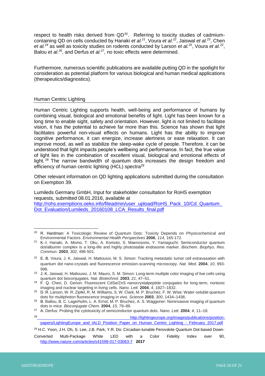<span id="page-19-0"></span>respect to health risks derived from QD<sup>20</sup>. Referring to toxicity studies of cadmiumcontaining QD on cells conducted by Hanaki *et al.<sup>21</sup>*, Voura *et al.<sup>22</sup>*, Jaiswal *et al.<sup>23</sup>*, Chen *et al.<sup>24</sup>* as well as toxicity studies on rodents conducted by Larson *et al.<sup>25</sup>*, Voura *et al.[22](#page-19-0)* , Balou *et al.<sup>26</sup>*, and Derfus *et al.<sup>27</sup>*, no toxic effects were determined.

Furthermore, numerous scientific publications are available putting QD in the spotlight for consideration as potential platform for various biological and human medical applications (therapeutics/diagnostics).

# Human Centric Lighting

Human Centric Lighting supports health, well-being and performance of humans by combining visual, biological and emotional benefits of light. Light has been known for a long time to enable sight, safety and orientation. However, light is not limited to facilitate vision, it has the potential to achieve far more than this. Science has shown that light facilitates powerful non-visual effects on humans. Light has the ability to improve cognitive performance, it can energize, increase alertness or ease relaxation. It can improve mood, as well as stabilize the sleep-wake cycle of people. Therefore, it can be understood that light impacts people's wellbeing and performance. In fact, the true value of light lies in the combination of excellent visual, biological and emotional effects of light.<sup>28</sup> The narrow bandwidth of quantum dots increases the design freedom and efficiency of human centric lighting (HCL) spectra<sup>29</sup>

Other relevant information on QD lighting applications submitted during the consultation on Exemption 39.

Lumileds Germany GmbH, Input for stakeholder consultation for RoHS exemption requests, submitted 08.01.2016, available at [http://rohs.exemptions.oeko.info/fileadmin/user\\_upload/RoHS\\_Pack\\_10/Cd\\_Quantum\\_](http://rohs.exemptions.oeko.info/fileadmin/user_upload/RoHS_Pack_10/Cd_Quantum_Dot_Evaluation/Lumileds_20160108_LCA_Results_final.pdf)

Dot Evaluation/Lumileds 20160108 LCA Results final.pdf

 $\overline{a}$ <sup>20</sup> R. Hardman: A Toxicologic Review of Quantum Dots: Toxicity Depends on Physicochemical and Environmental Factors. *Environmental Health Perspectives* **2006**, *114*, 165-172.

<sup>21</sup> K.-I. Hanaki, A. Momo, T. Oku, A. Komoto, S. Maenosono, Y. Yamaguchi: Semiconductor quantum dot/albumin complex is a long-life and highly photostable endosome marker. *Biochem. Biophys. Res. Commun*. **2003**, *302*, 496-501.

<sup>22</sup> E. B. Voura, J. K. Jaiswal, H. Mattoussi, M. S. Simon: Tracking metastatic tumor cell extravasation with quantum dot nano-crystals and fluorescence emission-scanning microscopy. *Nat. Med.* **2004**, *10*, 993- 998.

<sup>23</sup> J. K. Jaiswal, H. Mattoussi, J. M. Mauro, S. M. Simon: Long-term multiple color imaging of live cells using quantum dot bioconjugates. *Nat. Biotechnol.* **2003**, *21*, 47–51.

<sup>&</sup>lt;sup>24</sup> F. Q. Chen, D. Gerion: Fluorescent CdSe/ZnS nanocrystalpeptide conjugates for long-term, nontoxic imaging and nuclear targeting in living cells. *Nano. Lett.* **2004**, *4*, 1827–1832.

<sup>25</sup> D. R. Larson, W. R. Zipfel, R. M. Williams, S. W. Clark, M. P. Bruchez, F. W. Wise: Water-soluble quantum dots for multiphoton fluorescence imaging in vivo. *Science* **2003**, *300*, 1434–1436.

<sup>&</sup>lt;sup>26</sup> B. Ballou, B. C. Lagerholm, L. A. Ernst, M. P. Bruchez, A. S. Waggoner: Noninvasive imaging of quantum dots in mice. *Bioconjugate Chem*. **2004**, *15*, 79–86.

<sup>27</sup> A. Derfus: Probing the cytotoxicity of semiconductor quantum dots. *Nano. Lett.* **2004**, *4*, 11–18.

<sup>28</sup> [http://lightingeurope.org/images/publications/position](http://lightingeurope.org/images/publications/position-papers/LightingEurope_and_IALD_Position_Paper_on_Human_Centric_Lighting_-_February_2017.pdf)[papers/LightingEurope\\_and\\_IALD\\_Position\\_Paper\\_on\\_Human\\_Centric\\_Lighting\\_-\\_February\\_2017.pdf](http://lightingeurope.org/images/publications/position-papers/LightingEurope_and_IALD_Position_Paper_on_Human_Centric_Lighting_-_February_2017.pdf)

<sup>29</sup> H.C. Yoon, J.H. Oh, S. Lee, J.B. Park, Y.R. Do: Circadian-tunable Perovskite Quantum Dot-based Down-

Converted Multi-Package White LED with a Color Fidelity Index over 90, <http://www.nature.com/articles/s41598-017-03063-7>**2017**